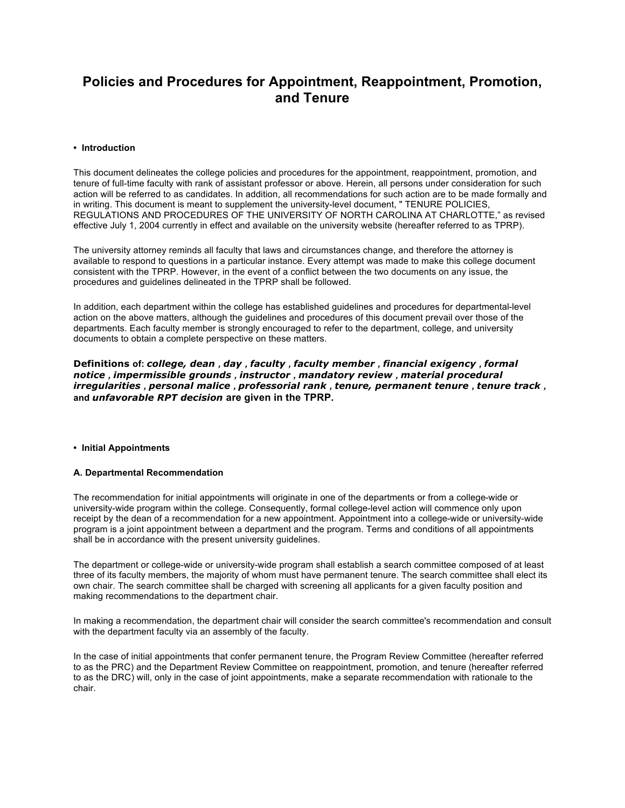# **Policies and Procedures for Appointment, Reappointment, Promotion, and Tenure**

## **• Introduction**

This document delineates the college policies and procedures for the appointment, reappointment, promotion, and tenure of full-time faculty with rank of assistant professor or above. Herein, all persons under consideration for such action will be referred to as candidates. In addition, all recommendations for such action are to be made formally and in writing. This document is meant to supplement the university-level document, " TENURE POLICIES, REGULATIONS AND PROCEDURES OF THE UNIVERSITY OF NORTH CAROLINA AT CHARLOTTE," as revised effective July 1, 2004 currently in effect and available on the university website (hereafter referred to as TPRP).

The university attorney reminds all faculty that laws and circumstances change, and therefore the attorney is available to respond to questions in a particular instance. Every attempt was made to make this college document consistent with the TPRP. However, in the event of a conflict between the two documents on any issue, the procedures and guidelines delineated in the TPRP shall be followed.

In addition, each department within the college has established guidelines and procedures for departmental-level action on the above matters, although the guidelines and procedures of this document prevail over those of the departments. Each faculty member is strongly encouraged to refer to the department, college, and university documents to obtain a complete perspective on these matters.

**Definitions of:** *college, dean , day , faculty , faculty member , financial exigency , formal notice , impermissible grounds , instructor , mandatory review , material procedural irregularities , personal malice , professorial rank , tenure, permanent tenure , tenure track ,*  **and** *unfavorable RPT decision* **are given in the TPRP.**

# **• Initial Appointments**

#### **A. Departmental Recommendation**

The recommendation for initial appointments will originate in one of the departments or from a college-wide or university-wide program within the college. Consequently, formal college-level action will commence only upon receipt by the dean of a recommendation for a new appointment. Appointment into a college-wide or university-wide program is a joint appointment between a department and the program. Terms and conditions of all appointments shall be in accordance with the present university guidelines.

The department or college-wide or university-wide program shall establish a search committee composed of at least three of its faculty members, the majority of whom must have permanent tenure. The search committee shall elect its own chair. The search committee shall be charged with screening all applicants for a given faculty position and making recommendations to the department chair.

In making a recommendation, the department chair will consider the search committee's recommendation and consult with the department faculty via an assembly of the faculty.

In the case of initial appointments that confer permanent tenure, the Program Review Committee (hereafter referred to as the PRC) and the Department Review Committee on reappointment, promotion, and tenure (hereafter referred to as the DRC) will, only in the case of joint appointments, make a separate recommendation with rationale to the chair.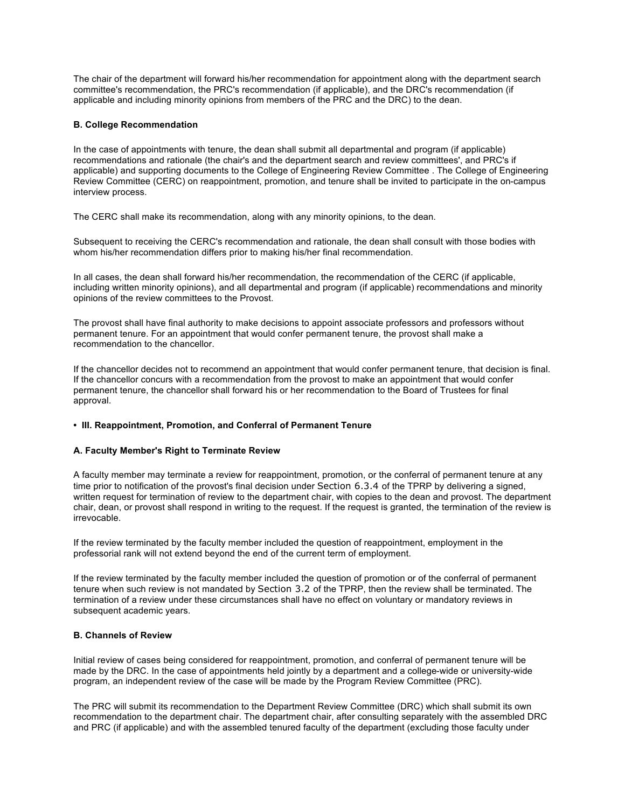The chair of the department will forward his/her recommendation for appointment along with the department search committee's recommendation, the PRC's recommendation (if applicable), and the DRC's recommendation (if applicable and including minority opinions from members of the PRC and the DRC) to the dean.

# **B. College Recommendation**

In the case of appointments with tenure, the dean shall submit all departmental and program (if applicable) recommendations and rationale (the chair's and the department search and review committees', and PRC's if applicable) and supporting documents to the College of Engineering Review Committee . The College of Engineering Review Committee (CERC) on reappointment, promotion, and tenure shall be invited to participate in the on-campus interview process.

The CERC shall make its recommendation, along with any minority opinions, to the dean.

Subsequent to receiving the CERC's recommendation and rationale, the dean shall consult with those bodies with whom his/her recommendation differs prior to making his/her final recommendation.

In all cases, the dean shall forward his/her recommendation, the recommendation of the CERC (if applicable, including written minority opinions), and all departmental and program (if applicable) recommendations and minority opinions of the review committees to the Provost.

The provost shall have final authority to make decisions to appoint associate professors and professors without permanent tenure. For an appointment that would confer permanent tenure, the provost shall make a recommendation to the chancellor.

If the chancellor decides not to recommend an appointment that would confer permanent tenure, that decision is final. If the chancellor concurs with a recommendation from the provost to make an appointment that would confer permanent tenure, the chancellor shall forward his or her recommendation to the Board of Trustees for final approval.

# **• III. Reappointment, Promotion, and Conferral of Permanent Tenure**

# **A. Faculty Member's Right to Terminate Review**

A faculty member may terminate a review for reappointment, promotion, or the conferral of permanent tenure at any time prior to notification of the provost's final decision under Section 6.3.4 of the TPRP by delivering a signed, written request for termination of review to the department chair, with copies to the dean and provost. The department chair, dean, or provost shall respond in writing to the request. If the request is granted, the termination of the review is irrevocable.

If the review terminated by the faculty member included the question of reappointment, employment in the professorial rank will not extend beyond the end of the current term of employment.

If the review terminated by the faculty member included the question of promotion or of the conferral of permanent tenure when such review is not mandated by Section 3.2 of the TPRP, then the review shall be terminated. The termination of a review under these circumstances shall have no effect on voluntary or mandatory reviews in subsequent academic years.

# **B. Channels of Review**

Initial review of cases being considered for reappointment, promotion, and conferral of permanent tenure will be made by the DRC. In the case of appointments held jointly by a department and a college-wide or university-wide program, an independent review of the case will be made by the Program Review Committee (PRC).

The PRC will submit its recommendation to the Department Review Committee (DRC) which shall submit its own recommendation to the department chair. The department chair, after consulting separately with the assembled DRC and PRC (if applicable) and with the assembled tenured faculty of the department (excluding those faculty under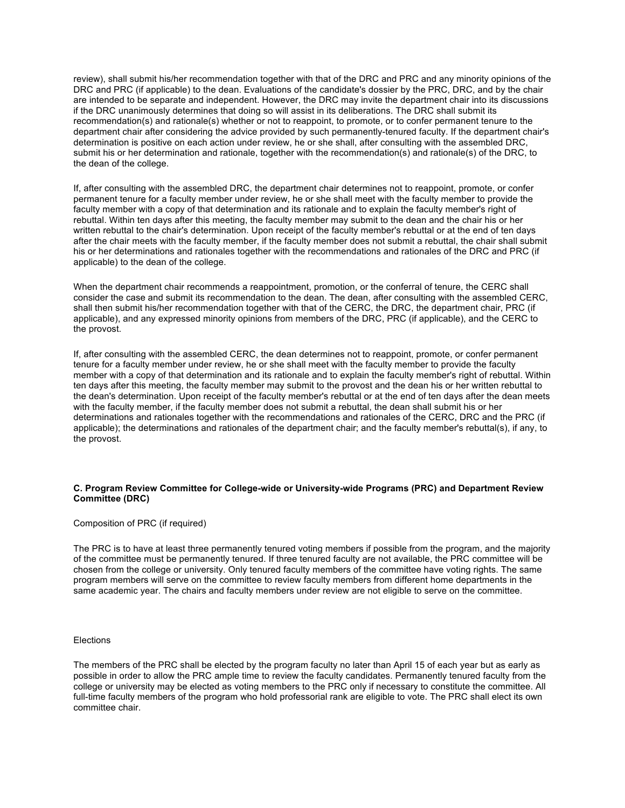review), shall submit his/her recommendation together with that of the DRC and PRC and any minority opinions of the DRC and PRC (if applicable) to the dean. Evaluations of the candidate's dossier by the PRC, DRC, and by the chair are intended to be separate and independent. However, the DRC may invite the department chair into its discussions if the DRC unanimously determines that doing so will assist in its deliberations. The DRC shall submit its recommendation(s) and rationale(s) whether or not to reappoint, to promote, or to confer permanent tenure to the department chair after considering the advice provided by such permanently-tenured faculty. If the department chair's determination is positive on each action under review, he or she shall, after consulting with the assembled DRC, submit his or her determination and rationale, together with the recommendation(s) and rationale(s) of the DRC, to the dean of the college.

If, after consulting with the assembled DRC, the department chair determines not to reappoint, promote, or confer permanent tenure for a faculty member under review, he or she shall meet with the faculty member to provide the faculty member with a copy of that determination and its rationale and to explain the faculty member's right of rebuttal. Within ten days after this meeting, the faculty member may submit to the dean and the chair his or her written rebuttal to the chair's determination. Upon receipt of the faculty member's rebuttal or at the end of ten days after the chair meets with the faculty member, if the faculty member does not submit a rebuttal, the chair shall submit his or her determinations and rationales together with the recommendations and rationales of the DRC and PRC (if applicable) to the dean of the college.

When the department chair recommends a reappointment, promotion, or the conferral of tenure, the CERC shall consider the case and submit its recommendation to the dean. The dean, after consulting with the assembled CERC, shall then submit his/her recommendation together with that of the CERC, the DRC, the department chair, PRC (if applicable), and any expressed minority opinions from members of the DRC, PRC (if applicable), and the CERC to the provost.

If, after consulting with the assembled CERC, the dean determines not to reappoint, promote, or confer permanent tenure for a faculty member under review, he or she shall meet with the faculty member to provide the faculty member with a copy of that determination and its rationale and to explain the faculty member's right of rebuttal. Within ten days after this meeting, the faculty member may submit to the provost and the dean his or her written rebuttal to the dean's determination. Upon receipt of the faculty member's rebuttal or at the end of ten days after the dean meets with the faculty member, if the faculty member does not submit a rebuttal, the dean shall submit his or her determinations and rationales together with the recommendations and rationales of the CERC, DRC and the PRC (if applicable); the determinations and rationales of the department chair; and the faculty member's rebuttal(s), if any, to the provost.

# **C. Program Review Committee for College-wide or University-wide Programs (PRC) and Department Review Committee (DRC)**

# Composition of PRC (if required)

The PRC is to have at least three permanently tenured voting members if possible from the program, and the majority of the committee must be permanently tenured. If three tenured faculty are not available, the PRC committee will be chosen from the college or university. Only tenured faculty members of the committee have voting rights. The same program members will serve on the committee to review faculty members from different home departments in the same academic year. The chairs and faculty members under review are not eligible to serve on the committee.

#### Elections

The members of the PRC shall be elected by the program faculty no later than April 15 of each year but as early as possible in order to allow the PRC ample time to review the faculty candidates. Permanently tenured faculty from the college or university may be elected as voting members to the PRC only if necessary to constitute the committee. All full-time faculty members of the program who hold professorial rank are eligible to vote. The PRC shall elect its own committee chair.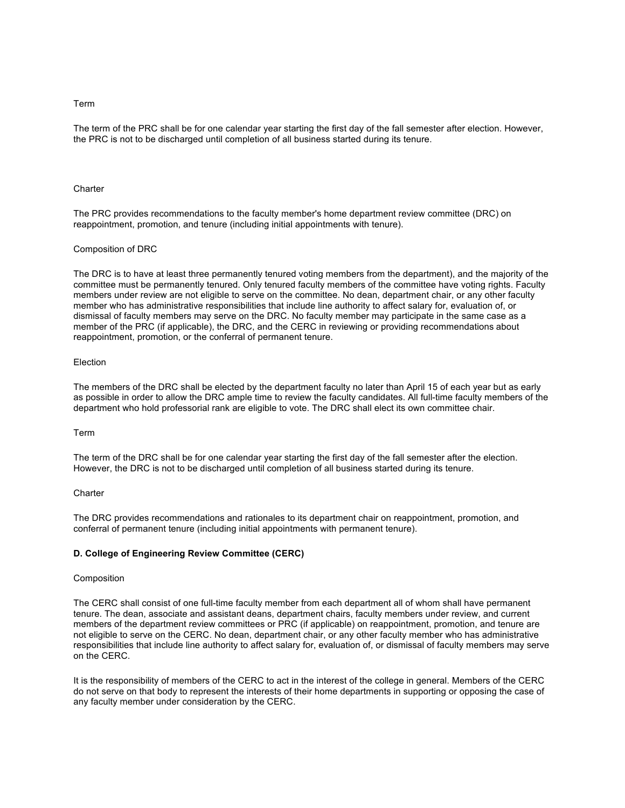### Term

The term of the PRC shall be for one calendar year starting the first day of the fall semester after election. However, the PRC is not to be discharged until completion of all business started during its tenure.

#### **Charter**

The PRC provides recommendations to the faculty member's home department review committee (DRC) on reappointment, promotion, and tenure (including initial appointments with tenure).

#### Composition of DRC

The DRC is to have at least three permanently tenured voting members from the department), and the majority of the committee must be permanently tenured. Only tenured faculty members of the committee have voting rights. Faculty members under review are not eligible to serve on the committee. No dean, department chair, or any other faculty member who has administrative responsibilities that include line authority to affect salary for, evaluation of, or dismissal of faculty members may serve on the DRC. No faculty member may participate in the same case as a member of the PRC (if applicable), the DRC, and the CERC in reviewing or providing recommendations about reappointment, promotion, or the conferral of permanent tenure.

#### Election

The members of the DRC shall be elected by the department faculty no later than April 15 of each year but as early as possible in order to allow the DRC ample time to review the faculty candidates. All full-time faculty members of the department who hold professorial rank are eligible to vote. The DRC shall elect its own committee chair.

#### Term

The term of the DRC shall be for one calendar year starting the first day of the fall semester after the election. However, the DRC is not to be discharged until completion of all business started during its tenure.

# **Charter**

The DRC provides recommendations and rationales to its department chair on reappointment, promotion, and conferral of permanent tenure (including initial appointments with permanent tenure).

## **D. College of Engineering Review Committee (CERC)**

#### Composition

The CERC shall consist of one full-time faculty member from each department all of whom shall have permanent tenure. The dean, associate and assistant deans, department chairs, faculty members under review, and current members of the department review committees or PRC (if applicable) on reappointment, promotion, and tenure are not eligible to serve on the CERC. No dean, department chair, or any other faculty member who has administrative responsibilities that include line authority to affect salary for, evaluation of, or dismissal of faculty members may serve on the CERC.

It is the responsibility of members of the CERC to act in the interest of the college in general. Members of the CERC do not serve on that body to represent the interests of their home departments in supporting or opposing the case of any faculty member under consideration by the CERC.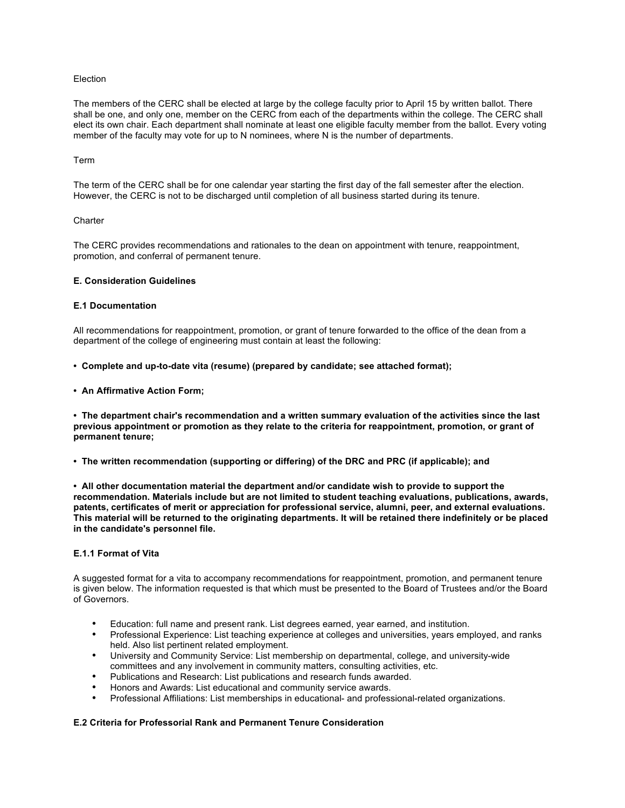# Election

The members of the CERC shall be elected at large by the college faculty prior to April 15 by written ballot. There shall be one, and only one, member on the CERC from each of the departments within the college. The CERC shall elect its own chair. Each department shall nominate at least one eligible faculty member from the ballot. Every voting member of the faculty may vote for up to N nominees, where N is the number of departments.

#### Term

The term of the CERC shall be for one calendar year starting the first day of the fall semester after the election. However, the CERC is not to be discharged until completion of all business started during its tenure.

## **Charter**

The CERC provides recommendations and rationales to the dean on appointment with tenure, reappointment, promotion, and conferral of permanent tenure.

# **E. Consideration Guidelines**

## **E.1 Documentation**

All recommendations for reappointment, promotion, or grant of tenure forwarded to the office of the dean from a department of the college of engineering must contain at least the following:

#### **• Complete and up-to-date vita (resume) (prepared by candidate; see attached format);**

**• An Affirmative Action Form;**

**• The department chair's recommendation and a written summary evaluation of the activities since the last previous appointment or promotion as they relate to the criteria for reappointment, promotion, or grant of permanent tenure;**

**• The written recommendation (supporting or differing) of the DRC and PRC (if applicable); and**

**• All other documentation material the department and/or candidate wish to provide to support the recommendation. Materials include but are not limited to student teaching evaluations, publications, awards, patents, certificates of merit or appreciation for professional service, alumni, peer, and external evaluations. This material will be returned to the originating departments. It will be retained there indefinitely or be placed in the candidate's personnel file.**

#### **E.1.1 Format of Vita**

A suggested format for a vita to accompany recommendations for reappointment, promotion, and permanent tenure is given below. The information requested is that which must be presented to the Board of Trustees and/or the Board of Governors.

- Education: full name and present rank. List degrees earned, year earned, and institution.
- Professional Experience: List teaching experience at colleges and universities, years employed, and ranks held. Also list pertinent related employment.
- University and Community Service: List membership on departmental, college, and university-wide committees and any involvement in community matters, consulting activities, etc.
- Publications and Research: List publications and research funds awarded.
- Honors and Awards: List educational and community service awards.
- Professional Affiliations: List memberships in educational- and professional-related organizations.

# **E.2 Criteria for Professorial Rank and Permanent Tenure Consideration**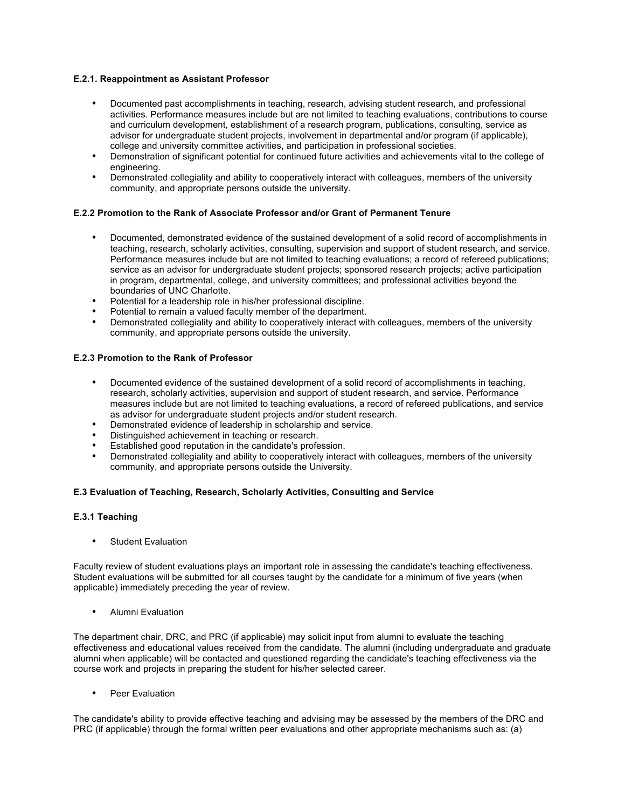# **E.2.1. Reappointment as Assistant Professor**

- Documented past accomplishments in teaching, research, advising student research, and professional activities. Performance measures include but are not limited to teaching evaluations, contributions to course and curriculum development, establishment of a research program, publications, consulting, service as advisor for undergraduate student projects, involvement in departmental and/or program (if applicable), college and university committee activities, and participation in professional societies.
- Demonstration of significant potential for continued future activities and achievements vital to the college of engineering.
- Demonstrated collegiality and ability to cooperatively interact with colleagues, members of the university community, and appropriate persons outside the university.

# **E.2.2 Promotion to the Rank of Associate Professor and/or Grant of Permanent Tenure**

- Documented, demonstrated evidence of the sustained development of a solid record of accomplishments in teaching, research, scholarly activities, consulting, supervision and support of student research, and service. Performance measures include but are not limited to teaching evaluations; a record of refereed publications; service as an advisor for undergraduate student projects; sponsored research projects; active participation in program, departmental, college, and university committees; and professional activities beyond the boundaries of UNC Charlotte.
- Potential for a leadership role in his/her professional discipline.
- Potential to remain a valued faculty member of the department.
- Demonstrated collegiality and ability to cooperatively interact with colleagues, members of the university community, and appropriate persons outside the university.

# **E.2.3 Promotion to the Rank of Professor**

- Documented evidence of the sustained development of a solid record of accomplishments in teaching, research, scholarly activities, supervision and support of student research, and service. Performance measures include but are not limited to teaching evaluations, a record of refereed publications, and service as advisor for undergraduate student projects and/or student research.
- Demonstrated evidence of leadership in scholarship and service.
- Distinguished achievement in teaching or research.
- Established good reputation in the candidate's profession.
- Demonstrated collegiality and ability to cooperatively interact with colleagues, members of the university community, and appropriate persons outside the University.

# **E.3 Evaluation of Teaching, Research, Scholarly Activities, Consulting and Service**

# **E.3.1 Teaching**

**Student Evaluation** 

Faculty review of student evaluations plays an important role in assessing the candidate's teaching effectiveness. Student evaluations will be submitted for all courses taught by the candidate for a minimum of five years (when applicable) immediately preceding the year of review.

• Alumni Evaluation

The department chair, DRC, and PRC (if applicable) may solicit input from alumni to evaluate the teaching effectiveness and educational values received from the candidate. The alumni (including undergraduate and graduate alumni when applicable) will be contacted and questioned regarding the candidate's teaching effectiveness via the course work and projects in preparing the student for his/her selected career.

Peer Evaluation

The candidate's ability to provide effective teaching and advising may be assessed by the members of the DRC and PRC (if applicable) through the formal written peer evaluations and other appropriate mechanisms such as: (a)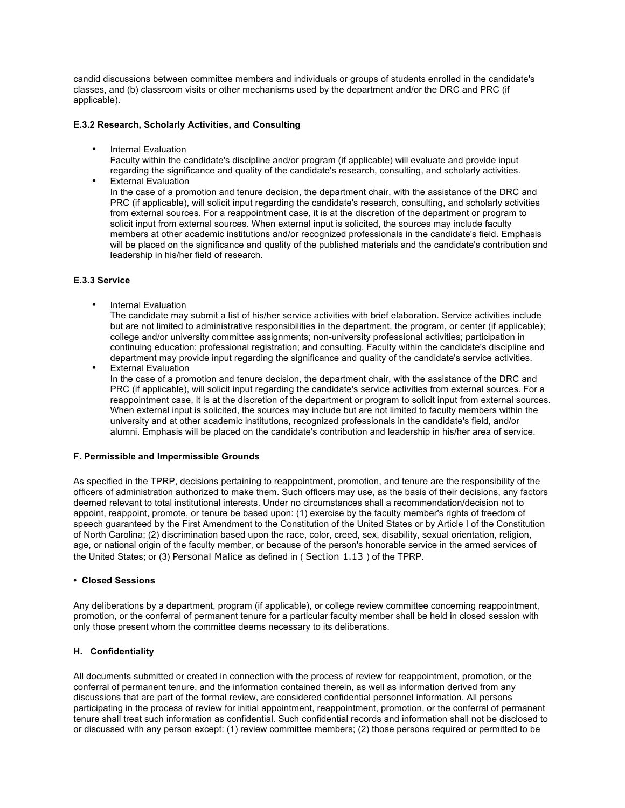candid discussions between committee members and individuals or groups of students enrolled in the candidate's classes, and (b) classroom visits or other mechanisms used by the department and/or the DRC and PRC (if applicable).

# **E.3.2 Research, Scholarly Activities, and Consulting**

• Internal Evaluation

Faculty within the candidate's discipline and/or program (if applicable) will evaluate and provide input regarding the significance and quality of the candidate's research, consulting, and scholarly activities.

• External Evaluation In the case of a promotion and tenure decision, the department chair, with the assistance of the DRC and PRC (if applicable), will solicit input regarding the candidate's research, consulting, and scholarly activities from external sources. For a reappointment case, it is at the discretion of the department or program to solicit input from external sources. When external input is solicited, the sources may include faculty members at other academic institutions and/or recognized professionals in the candidate's field. Emphasis will be placed on the significance and quality of the published materials and the candidate's contribution and leadership in his/her field of research.

# **E.3.3 Service**

• Internal Evaluation

The candidate may submit a list of his/her service activities with brief elaboration. Service activities include but are not limited to administrative responsibilities in the department, the program, or center (if applicable); college and/or university committee assignments; non-university professional activities; participation in continuing education; professional registration; and consulting. Faculty within the candidate's discipline and department may provide input regarding the significance and quality of the candidate's service activities.

**External Evaluation** In the case of a promotion and tenure decision, the department chair, with the assistance of the DRC and PRC (if applicable), will solicit input regarding the candidate's service activities from external sources. For a reappointment case, it is at the discretion of the department or program to solicit input from external sources. When external input is solicited, the sources may include but are not limited to faculty members within the university and at other academic institutions, recognized professionals in the candidate's field, and/or alumni. Emphasis will be placed on the candidate's contribution and leadership in his/her area of service.

# **F. Permissible and Impermissible Grounds**

As specified in the TPRP, decisions pertaining to reappointment, promotion, and tenure are the responsibility of the officers of administration authorized to make them. Such officers may use, as the basis of their decisions, any factors deemed relevant to total institutional interests. Under no circumstances shall a recommendation/decision not to appoint, reappoint, promote, or tenure be based upon: (1) exercise by the faculty member's rights of freedom of speech guaranteed by the First Amendment to the Constitution of the United States or by Article I of the Constitution of North Carolina; (2) discrimination based upon the race, color, creed, sex, disability, sexual orientation, religion, age, or national origin of the faculty member, or because of the person's honorable service in the armed services of the United States; or (3) Personal Malice as defined in ( Section 1.13 ) of the TPRP.

# **• Closed Sessions**

Any deliberations by a department, program (if applicable), or college review committee concerning reappointment, promotion, or the conferral of permanent tenure for a particular faculty member shall be held in closed session with only those present whom the committee deems necessary to its deliberations.

# **H. Confidentiality**

All documents submitted or created in connection with the process of review for reappointment, promotion, or the conferral of permanent tenure, and the information contained therein, as well as information derived from any discussions that are part of the formal review, are considered confidential personnel information. All persons participating in the process of review for initial appointment, reappointment, promotion, or the conferral of permanent tenure shall treat such information as confidential. Such confidential records and information shall not be disclosed to or discussed with any person except: (1) review committee members; (2) those persons required or permitted to be